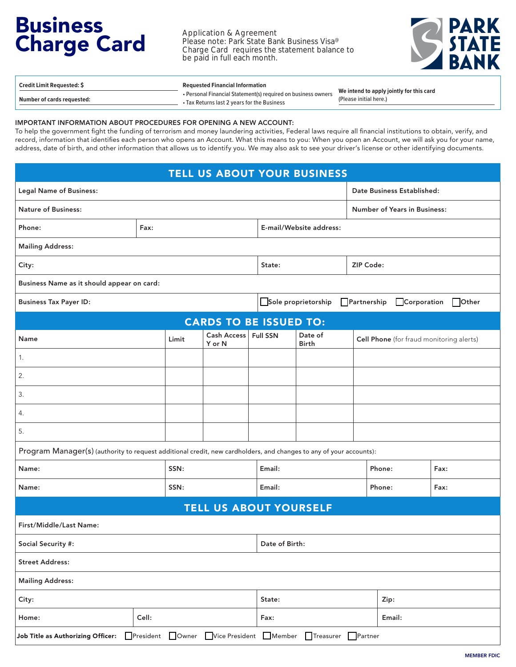## Business Charge Card

Application & Agreement Please note: Park State Bank Business Visa<sup>®</sup> Charge Card requires the statement balance to be paid in full each month.



| <b>Credit Limit Requested: \$</b> | <b>Requested Financial Information</b>                        |                                          |  |
|-----------------------------------|---------------------------------------------------------------|------------------------------------------|--|
|                                   | • Personal Financial Statement(s) required on business owners | We intend to apply jointly for this card |  |
| Number of cards requested:        | • Tax Returns last 2 vears for the Business                   | (Please initial here.)                   |  |

## IMPORTANT INFORMATION ABOUT PROCEDURES FOR OPENING A NEW ACCOUNT:

To help the government fight the funding of terrorism and money laundering activities, Federal laws require all financial institutions to obtain, verify, and record, information that identifies each person who opens an Account. What this means to you: When you open an Account, we will ask you for your name, address, date of birth, and other information that allows us to identify you. We may also ask to see your driver's license or other identifying documents.

|                                                                                                                    |       |        |                       |                               | <b>TELL US ABOUT YOUR BUSINESS</b>                                  |                  |             |       |
|--------------------------------------------------------------------------------------------------------------------|-------|--------|-----------------------|-------------------------------|---------------------------------------------------------------------|------------------|-------------|-------|
| <b>Legal Name of Business:</b>                                                                                     |       |        |                       |                               | Date Business Established:                                          |                  |             |       |
| <b>Nature of Business:</b>                                                                                         |       |        |                       |                               | <b>Number of Years in Business:</b>                                 |                  |             |       |
| Phone:                                                                                                             | Fax:  |        |                       |                               | E-mail/Website address:                                             |                  |             |       |
| <b>Mailing Address:</b>                                                                                            |       |        |                       |                               |                                                                     |                  |             |       |
| City:                                                                                                              |       |        | State:                |                               |                                                                     | <b>ZIP Code:</b> |             |       |
| Business Name as it should appear on card:                                                                         |       |        |                       |                               |                                                                     |                  |             |       |
| <b>Business Tax Payer ID:</b>                                                                                      |       |        |                       |                               | Sole proprietorship                                                 | Partnership      | Corporation | Other |
|                                                                                                                    |       |        |                       | <b>CARDS TO BE ISSUED TO:</b> |                                                                     |                  |             |       |
| Name                                                                                                               |       | Limit  | Cash Access<br>Y or N | Full SSN                      | Date of<br>Cell Phone (for fraud monitoring alerts)<br><b>Birth</b> |                  |             |       |
| 1.                                                                                                                 |       |        |                       |                               |                                                                     |                  |             |       |
| 2.                                                                                                                 |       |        |                       |                               |                                                                     |                  |             |       |
| 3.                                                                                                                 |       |        |                       |                               |                                                                     |                  |             |       |
| 4.                                                                                                                 |       |        |                       |                               |                                                                     |                  |             |       |
| 5.                                                                                                                 |       |        |                       |                               |                                                                     |                  |             |       |
| Program Manager(s) (authority to request additional credit, new cardholders, and changes to any of your accounts): |       |        |                       |                               |                                                                     |                  |             |       |
| SSN:<br>Name:                                                                                                      |       | Email: |                       |                               | Phone:                                                              | Fax:             |             |       |
| Name:                                                                                                              | SSN:  |        | Email:                |                               |                                                                     | Phone:           | Fax:        |       |
| <b>TELL US ABOUT YOURSELF</b>                                                                                      |       |        |                       |                               |                                                                     |                  |             |       |
| First/Middle/Last Name:                                                                                            |       |        |                       |                               |                                                                     |                  |             |       |
| Social Security #:                                                                                                 |       |        |                       | Date of Birth:                |                                                                     |                  |             |       |
| <b>Street Address:</b>                                                                                             |       |        |                       |                               |                                                                     |                  |             |       |
| <b>Mailing Address:</b>                                                                                            |       |        |                       |                               |                                                                     |                  |             |       |
| City:                                                                                                              |       | State: |                       |                               | Zip:                                                                |                  |             |       |
| Home:                                                                                                              | Cell: |        |                       | Fax:                          |                                                                     |                  | Email:      |       |
| President Owner<br>Vice President Member<br>Treasurer Partner<br>Job Title as Authorizing Officer:                 |       |        |                       |                               |                                                                     |                  |             |       |